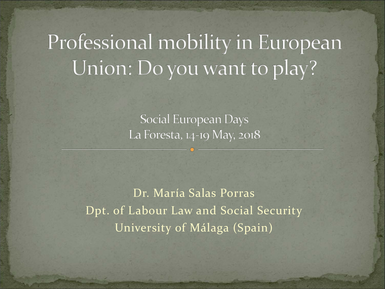# Professional mobility in European Union: Do you want to play?

Social European Days La Foresta, 14-19 May, 2018

Dr. María Salas Porras Dpt. of Labour Law and Social Security University of Málaga (Spain)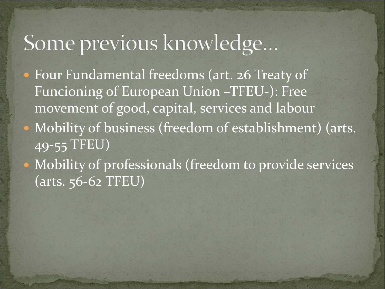## Some previous knowledge...

- Four Fundamental freedoms (art. 26 Treaty of Funcioning of European Union –TFEU-): Free movement of good, capital, services and labour
- Mobility of business (freedom of establishment) (arts. 49-55 TFEU)
- Mobility of professionals (freedom to provide services (arts. 56-62 TFEU)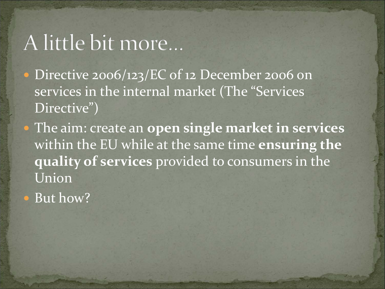### A little bit more...

• Directive 2006/123/EC of 12 December 2006 on services in the internal market (The "Services Directive")

 The aim: create an **open single market in services**  within the EU while at the same time **ensuring the quality of services** provided to consumers in the Union

• But how?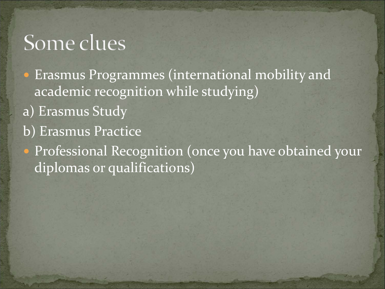#### Some clues

 Erasmus Programmes (international mobility and academic recognition while studying)

- a) Erasmus Study
- b) Erasmus Practice

 Professional Recognition (once you have obtained your diplomas or qualifications)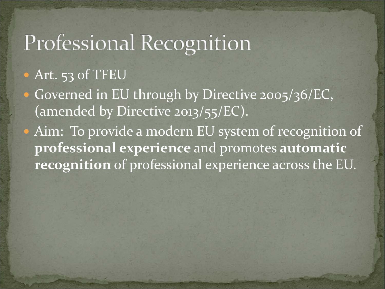## Professional Recognition

#### Art. 53 of TFEU

- Governed in EU through by Directive 2005/36/EC, (amended by Directive 2013/55/EC).
- Aim: To provide a modern EU system of recognition of **professional experience** and promotes **automatic recognition** of professional experience across the EU.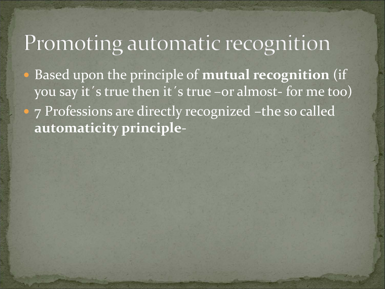### Promoting automatic recognition

 Based upon the principle of **mutual recognition** (if you say it´s true then it´s true –or almost- for me too) • 7 Professions are directly recognized –the so called **automaticity principle**-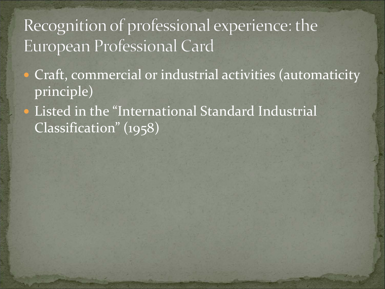#### Recognition of professional experience: the European Professional Card

- Craft, commercial or industrial activities (automaticity principle)
- Listed in the "International Standard Industrial Classification" (1958)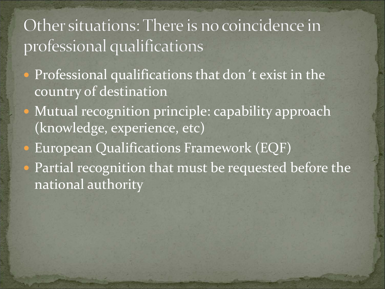#### Other situations: There is no coincidence in professional qualifications

- Professional qualifications that don't exist in the country of destination
- Mutual recognition principle: capability approach (knowledge, experience, etc)
- European Qualifications Framework (EQF)
- Partial recognition that must be requested before the national authority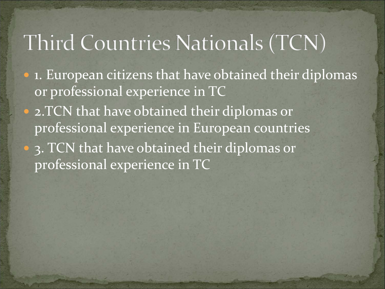# Third Countries Nationals (TCN)

- 1. European citizens that have obtained their diplomas or professional experience in TC
- 2.TCN that have obtained their diplomas or professional experience in European countries
- 3. TCN that have obtained their diplomas or professional experience in TC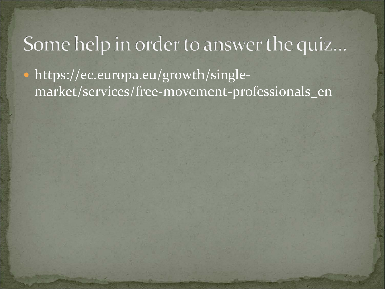#### Some help in order to answer the quiz...

• https://ec.europa.eu/growth/singlemarket/services/free-movement-professionals\_en